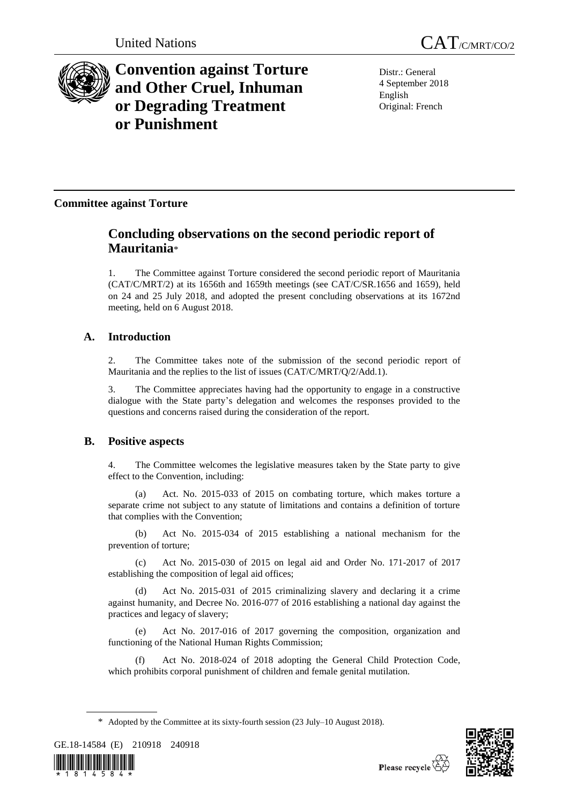



# **Convention against Torture and Other Cruel, Inhuman or Degrading Treatment or Punishment**

Distr.: General 4 September 2018 English Original: French

## **Committee against Torture**

## **Concluding observations on the second periodic report of Mauritania**\*

1. The Committee against Torture considered the second periodic report of Mauritania (CAT/C/MRT/2) at its 1656th and 1659th meetings (see CAT/C/SR.1656 and 1659), held on 24 and 25 July 2018, and adopted the present concluding observations at its 1672nd meeting, held on 6 August 2018.

## **A. Introduction**

2. The Committee takes note of the submission of the second periodic report of Mauritania and the replies to the list of issues (CAT/C/MRT/Q/2/Add.1).

3. The Committee appreciates having had the opportunity to engage in a constructive dialogue with the State party's delegation and welcomes the responses provided to the questions and concerns raised during the consideration of the report.

## **B. Positive aspects**

4. The Committee welcomes the legislative measures taken by the State party to give effect to the Convention, including:

(a) Act. No. 2015-033 of 2015 on combating torture, which makes torture a separate crime not subject to any statute of limitations and contains a definition of torture that complies with the Convention;

(b) Act No. 2015-034 of 2015 establishing a national mechanism for the prevention of torture;

(c) Act No. 2015-030 of 2015 on legal aid and Order No. 171-2017 of 2017 establishing the composition of legal aid offices;

(d) Act No. 2015-031 of 2015 criminalizing slavery and declaring it a crime against humanity, and Decree No. 2016-077 of 2016 establishing a national day against the practices and legacy of slavery;

(e) Act No. 2017-016 of 2017 governing the composition, organization and functioning of the National Human Rights Commission;

Act No. 2018-024 of 2018 adopting the General Child Protection Code, which prohibits corporal punishment of children and female genital mutilation.

GE.18-14584 (E) 210918 240918





<sup>\*</sup> Adopted by the Committee at its sixty-fourth session (23 July–10 August 2018).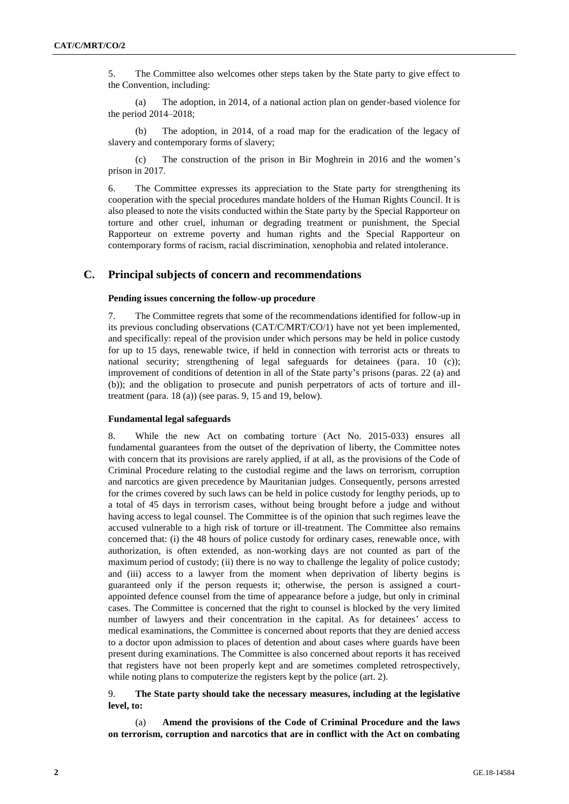5. The Committee also welcomes other steps taken by the State party to give effect to the Convention, including:

(a) The adoption, in 2014, of a national action plan on gender-based violence for the period 2014–2018;

(b) The adoption, in 2014, of a road map for the eradication of the legacy of slavery and contemporary forms of slavery;

(c) The construction of the prison in Bir Moghrein in 2016 and the women's prison in 2017.

6. The Committee expresses its appreciation to the State party for strengthening its cooperation with the special procedures mandate holders of the Human Rights Council. It is also pleased to note the visits conducted within the State party by the Special Rapporteur on torture and other cruel, inhuman or degrading treatment or punishment, the Special Rapporteur on extreme poverty and human rights and the Special Rapporteur on contemporary forms of racism, racial discrimination, xenophobia and related intolerance.

### **C. Principal subjects of concern and recommendations**

## **Pending issues concerning the follow-up procedure**

7. The Committee regrets that some of the recommendations identified for follow-up in its previous concluding observations (CAT/C/MRT/CO/1) have not yet been implemented, and specifically: repeal of the provision under which persons may be held in police custody for up to 15 days, renewable twice, if held in connection with terrorist acts or threats to national security; strengthening of legal safeguards for detainees (para. 10 (c)); improvement of conditions of detention in all of the State party's prisons (paras. 22 (a) and (b)); and the obligation to prosecute and punish perpetrators of acts of torture and illtreatment (para. 18 (a)) (see paras. 9, 15 and 19, below).

#### **Fundamental legal safeguards**

8. While the new Act on combating torture (Act No. 2015-033) ensures all fundamental guarantees from the outset of the deprivation of liberty, the Committee notes with concern that its provisions are rarely applied, if at all, as the provisions of the Code of Criminal Procedure relating to the custodial regime and the laws on terrorism, corruption and narcotics are given precedence by Mauritanian judges. Consequently, persons arrested for the crimes covered by such laws can be held in police custody for lengthy periods, up to a total of 45 days in terrorism cases, without being brought before a judge and without having access to legal counsel. The Committee is of the opinion that such regimes leave the accused vulnerable to a high risk of torture or ill-treatment. The Committee also remains concerned that: (i) the 48 hours of police custody for ordinary cases, renewable once, with authorization, is often extended, as non-working days are not counted as part of the maximum period of custody; (ii) there is no way to challenge the legality of police custody; and (iii) access to a lawyer from the moment when deprivation of liberty begins is guaranteed only if the person requests it; otherwise, the person is assigned a courtappointed defence counsel from the time of appearance before a judge, but only in criminal cases. The Committee is concerned that the right to counsel is blocked by the very limited number of lawyers and their concentration in the capital. As for detainees' access to medical examinations, the Committee is concerned about reports that they are denied access to a doctor upon admission to places of detention and about cases where guards have been present during examinations. The Committee is also concerned about reports it has received that registers have not been properly kept and are sometimes completed retrospectively, while noting plans to computerize the registers kept by the police (art. 2).

## 9. **The State party should take the necessary measures, including at the legislative level, to:**

Amend the provisions of the Code of Criminal Procedure and the laws **on terrorism, corruption and narcotics that are in conflict with the Act on combating**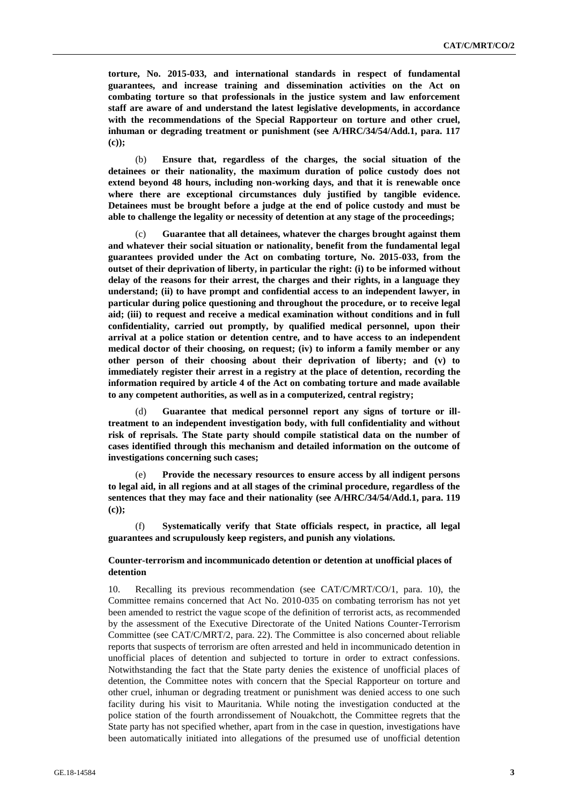**torture, No. 2015-033, and international standards in respect of fundamental guarantees, and increase training and dissemination activities on the Act on combating torture so that professionals in the justice system and law enforcement staff are aware of and understand the latest legislative developments, in accordance with the recommendations of the Special Rapporteur on torture and other cruel, inhuman or degrading treatment or punishment (see A/HRC/34/54/Add.1, para. 117 (c));**

(b) **Ensure that, regardless of the charges, the social situation of the detainees or their nationality, the maximum duration of police custody does not extend beyond 48 hours, including non-working days, and that it is renewable once where there are exceptional circumstances duly justified by tangible evidence. Detainees must be brought before a judge at the end of police custody and must be able to challenge the legality or necessity of detention at any stage of the proceedings;**

(c) **Guarantee that all detainees, whatever the charges brought against them and whatever their social situation or nationality, benefit from the fundamental legal guarantees provided under the Act on combating torture, No. 2015-033, from the outset of their deprivation of liberty, in particular the right: (i) to be informed without delay of the reasons for their arrest, the charges and their rights, in a language they understand; (ii) to have prompt and confidential access to an independent lawyer, in particular during police questioning and throughout the procedure, or to receive legal aid; (iii) to request and receive a medical examination without conditions and in full confidentiality, carried out promptly, by qualified medical personnel, upon their arrival at a police station or detention centre, and to have access to an independent medical doctor of their choosing, on request; (iv) to inform a family member or any other person of their choosing about their deprivation of liberty; and (v) to immediately register their arrest in a registry at the place of detention, recording the information required by article 4 of the Act on combating torture and made available to any competent authorities, as well as in a computerized, central registry;** 

(d) **Guarantee that medical personnel report any signs of torture or illtreatment to an independent investigation body, with full confidentiality and without risk of reprisals. The State party should compile statistical data on the number of cases identified through this mechanism and detailed information on the outcome of investigations concerning such cases;**

(e) **Provide the necessary resources to ensure access by all indigent persons to legal aid, in all regions and at all stages of the criminal procedure, regardless of the sentences that they may face and their nationality (see A/HRC/34/54/Add.1, para. 119 (c));** 

(f) **Systematically verify that State officials respect, in practice, all legal guarantees and scrupulously keep registers, and punish any violations.**

## **Counter-terrorism and incommunicado detention or detention at unofficial places of detention**

10. Recalling its previous recommendation (see CAT/C/MRT/CO/1, para. 10), the Committee remains concerned that Act No. 2010-035 on combating terrorism has not yet been amended to restrict the vague scope of the definition of terrorist acts, as recommended by the assessment of the Executive Directorate of the United Nations Counter-Terrorism Committee (see CAT/C/MRT/2, para. 22). The Committee is also concerned about reliable reports that suspects of terrorism are often arrested and held in incommunicado detention in unofficial places of detention and subjected to torture in order to extract confessions. Notwithstanding the fact that the State party denies the existence of unofficial places of detention, the Committee notes with concern that the Special Rapporteur on torture and other cruel, inhuman or degrading treatment or punishment was denied access to one such facility during his visit to Mauritania. While noting the investigation conducted at the police station of the fourth arrondissement of Nouakchott, the Committee regrets that the State party has not specified whether, apart from in the case in question, investigations have been automatically initiated into allegations of the presumed use of unofficial detention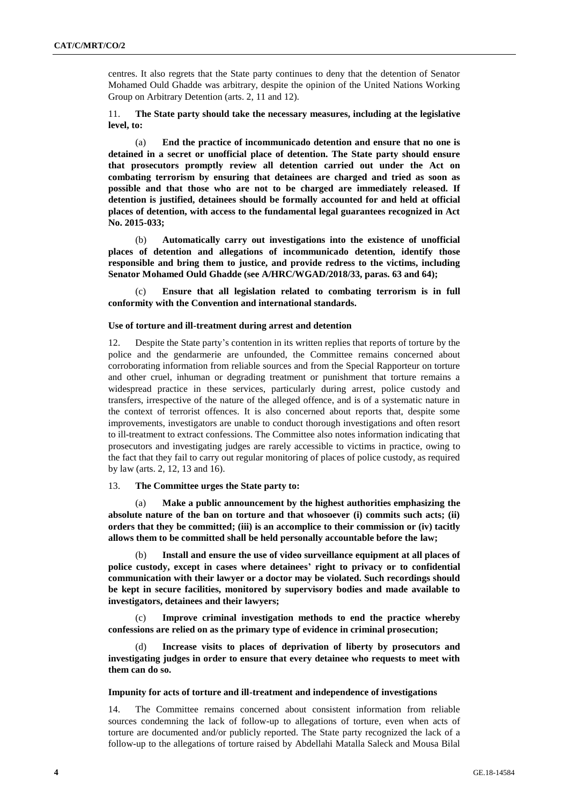centres. It also regrets that the State party continues to deny that the detention of Senator Mohamed Ould Ghadde was arbitrary, despite the opinion of the United Nations Working Group on Arbitrary Detention (arts. 2, 11 and 12).

11. **The State party should take the necessary measures, including at the legislative level, to:** 

(a) **End the practice of incommunicado detention and ensure that no one is detained in a secret or unofficial place of detention. The State party should ensure that prosecutors promptly review all detention carried out under the Act on combating terrorism by ensuring that detainees are charged and tried as soon as possible and that those who are not to be charged are immediately released. If detention is justified, detainees should be formally accounted for and held at official places of detention, with access to the fundamental legal guarantees recognized in Act No. 2015-033;** 

(b) **Automatically carry out investigations into the existence of unofficial places of detention and allegations of incommunicado detention, identify those responsible and bring them to justice, and provide redress to the victims, including Senator Mohamed Ould Ghadde (see A/HRC/WGAD/2018/33, paras. 63 and 64);**

(c) **Ensure that all legislation related to combating terrorism is in full conformity with the Convention and international standards.** 

#### **Use of torture and ill-treatment during arrest and detention**

12. Despite the State party's contention in its written replies that reports of torture by the police and the gendarmerie are unfounded, the Committee remains concerned about corroborating information from reliable sources and from the Special Rapporteur on torture and other cruel, inhuman or degrading treatment or punishment that torture remains a widespread practice in these services, particularly during arrest, police custody and transfers, irrespective of the nature of the alleged offence, and is of a systematic nature in the context of terrorist offences. It is also concerned about reports that, despite some improvements, investigators are unable to conduct thorough investigations and often resort to ill-treatment to extract confessions. The Committee also notes information indicating that prosecutors and investigating judges are rarely accessible to victims in practice, owing to the fact that they fail to carry out regular monitoring of places of police custody, as required by law (arts. 2, 12, 13 and 16).

## 13. **The Committee urges the State party to:**

(a) **Make a public announcement by the highest authorities emphasizing the absolute nature of the ban on torture and that whosoever (i) commits such acts; (ii) orders that they be committed; (iii) is an accomplice to their commission or (iv) tacitly allows them to be committed shall be held personally accountable before the law;**

(b) **Install and ensure the use of video surveillance equipment at all places of police custody, except in cases where detainees' right to privacy or to confidential communication with their lawyer or a doctor may be violated. Such recordings should be kept in secure facilities, monitored by supervisory bodies and made available to investigators, detainees and their lawyers;**

Improve criminal investigation methods to end the practice whereby **confessions are relied on as the primary type of evidence in criminal prosecution;**

(d) **Increase visits to places of deprivation of liberty by prosecutors and investigating judges in order to ensure that every detainee who requests to meet with them can do so.** 

#### **Impunity for acts of torture and ill-treatment and independence of investigations**

14. The Committee remains concerned about consistent information from reliable sources condemning the lack of follow-up to allegations of torture, even when acts of torture are documented and/or publicly reported. The State party recognized the lack of a follow-up to the allegations of torture raised by Abdellahi Matalla Saleck and Mousa Bilal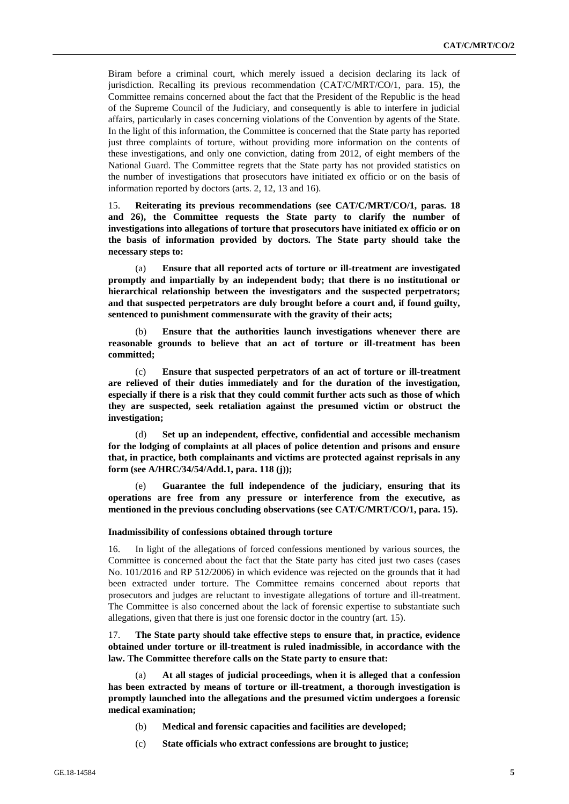Biram before a criminal court, which merely issued a decision declaring its lack of jurisdiction. Recalling its previous recommendation (CAT/C/MRT/CO/1, para. 15), the Committee remains concerned about the fact that the President of the Republic is the head of the Supreme Council of the Judiciary, and consequently is able to interfere in judicial affairs, particularly in cases concerning violations of the Convention by agents of the State. In the light of this information, the Committee is concerned that the State party has reported just three complaints of torture, without providing more information on the contents of these investigations, and only one conviction, dating from 2012, of eight members of the National Guard. The Committee regrets that the State party has not provided statistics on the number of investigations that prosecutors have initiated ex officio or on the basis of information reported by doctors (arts. 2, 12, 13 and 16).

15. **Reiterating its previous recommendations (see CAT/C/MRT/CO/1, paras. 18 and 26), the Committee requests the State party to clarify the number of investigations into allegations of torture that prosecutors have initiated ex officio or on the basis of information provided by doctors. The State party should take the necessary steps to:**

(a) **Ensure that all reported acts of torture or ill-treatment are investigated promptly and impartially by an independent body; that there is no institutional or hierarchical relationship between the investigators and the suspected perpetrators; and that suspected perpetrators are duly brought before a court and, if found guilty, sentenced to punishment commensurate with the gravity of their acts;** 

(b) **Ensure that the authorities launch investigations whenever there are reasonable grounds to believe that an act of torture or ill-treatment has been committed;**

(c) **Ensure that suspected perpetrators of an act of torture or ill-treatment are relieved of their duties immediately and for the duration of the investigation, especially if there is a risk that they could commit further acts such as those of which they are suspected, seek retaliation against the presumed victim or obstruct the investigation;**

(d) **Set up an independent, effective, confidential and accessible mechanism for the lodging of complaints at all places of police detention and prisons and ensure that, in practice, both complainants and victims are protected against reprisals in any form (see A/HRC/34/54/Add.1, para. 118 (j));**

(e) **Guarantee the full independence of the judiciary, ensuring that its operations are free from any pressure or interference from the executive, as mentioned in the previous concluding observations (see CAT/C/MRT/CO/1, para. 15).** 

#### **Inadmissibility of confessions obtained through torture**

16. In light of the allegations of forced confessions mentioned by various sources, the Committee is concerned about the fact that the State party has cited just two cases (cases No. 101/2016 and RP 512/2006) in which evidence was rejected on the grounds that it had been extracted under torture. The Committee remains concerned about reports that prosecutors and judges are reluctant to investigate allegations of torture and ill-treatment. The Committee is also concerned about the lack of forensic expertise to substantiate such allegations, given that there is just one forensic doctor in the country (art. 15).

17. **The State party should take effective steps to ensure that, in practice, evidence obtained under torture or ill-treatment is ruled inadmissible, in accordance with the law. The Committee therefore calls on the State party to ensure that:**

(a) **At all stages of judicial proceedings, when it is alleged that a confession has been extracted by means of torture or ill-treatment, a thorough investigation is promptly launched into the allegations and the presumed victim undergoes a forensic medical examination;**

- (b) **Medical and forensic capacities and facilities are developed;**
- (c) **State officials who extract confessions are brought to justice;**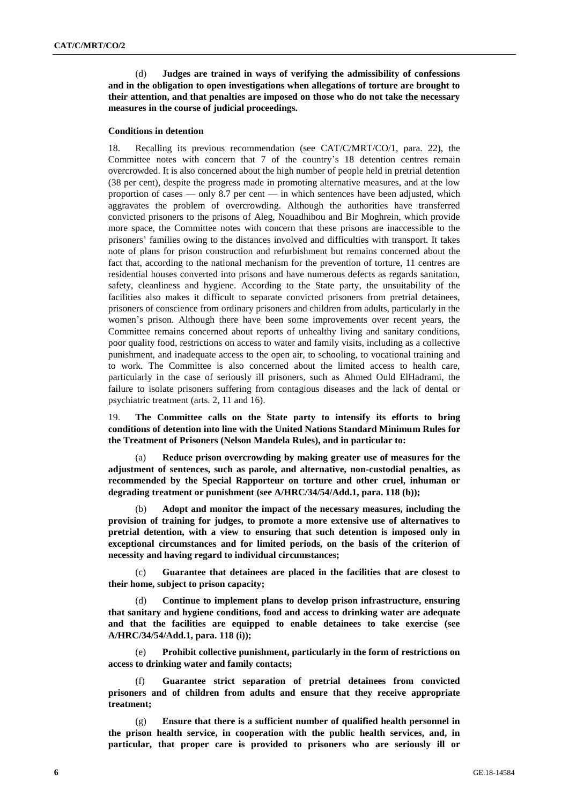(d) **Judges are trained in ways of verifying the admissibility of confessions and in the obligation to open investigations when allegations of torture are brought to their attention, and that penalties are imposed on those who do not take the necessary measures in the course of judicial proceedings.**

#### **Conditions in detention**

18. Recalling its previous recommendation (see CAT/C/MRT/CO/1, para. 22), the Committee notes with concern that 7 of the country's 18 detention centres remain overcrowded. It is also concerned about the high number of people held in pretrial detention (38 per cent), despite the progress made in promoting alternative measures, and at the low proportion of cases — only 8.7 per cent — in which sentences have been adjusted, which aggravates the problem of overcrowding. Although the authorities have transferred convicted prisoners to the prisons of Aleg, Nouadhibou and Bir Moghrein, which provide more space, the Committee notes with concern that these prisons are inaccessible to the prisoners' families owing to the distances involved and difficulties with transport. It takes note of plans for prison construction and refurbishment but remains concerned about the fact that, according to the national mechanism for the prevention of torture, 11 centres are residential houses converted into prisons and have numerous defects as regards sanitation, safety, cleanliness and hygiene. According to the State party, the unsuitability of the facilities also makes it difficult to separate convicted prisoners from pretrial detainees, prisoners of conscience from ordinary prisoners and children from adults, particularly in the women's prison. Although there have been some improvements over recent years, the Committee remains concerned about reports of unhealthy living and sanitary conditions, poor quality food, restrictions on access to water and family visits, including as a collective punishment, and inadequate access to the open air, to schooling, to vocational training and to work. The Committee is also concerned about the limited access to health care, particularly in the case of seriously ill prisoners, such as Ahmed Ould ElHadrami, the failure to isolate prisoners suffering from contagious diseases and the lack of dental or psychiatric treatment (arts. 2, 11 and 16).

19. **The Committee calls on the State party to intensify its efforts to bring conditions of detention into line with the United Nations Standard Minimum Rules for the Treatment of Prisoners (Nelson Mandela Rules), and in particular to:**

(a) **Reduce prison overcrowding by making greater use of measures for the adjustment of sentences, such as parole, and alternative, non-custodial penalties, as recommended by the Special Rapporteur on torture and other cruel, inhuman or degrading treatment or punishment (see A/HRC/34/54/Add.1, para. 118 (b));**

Adopt and monitor the impact of the necessary measures, including the **provision of training for judges, to promote a more extensive use of alternatives to pretrial detention, with a view to ensuring that such detention is imposed only in exceptional circumstances and for limited periods, on the basis of the criterion of necessity and having regard to individual circumstances;**

(c) **Guarantee that detainees are placed in the facilities that are closest to their home, subject to prison capacity;**

(d) **Continue to implement plans to develop prison infrastructure, ensuring that sanitary and hygiene conditions, food and access to drinking water are adequate and that the facilities are equipped to enable detainees to take exercise (see A/HRC/34/54/Add.1, para. 118 (i));**

(e) **Prohibit collective punishment, particularly in the form of restrictions on access to drinking water and family contacts;**

(f) **Guarantee strict separation of pretrial detainees from convicted prisoners and of children from adults and ensure that they receive appropriate treatment;**

(g) **Ensure that there is a sufficient number of qualified health personnel in the prison health service, in cooperation with the public health services, and, in particular, that proper care is provided to prisoners who are seriously ill or**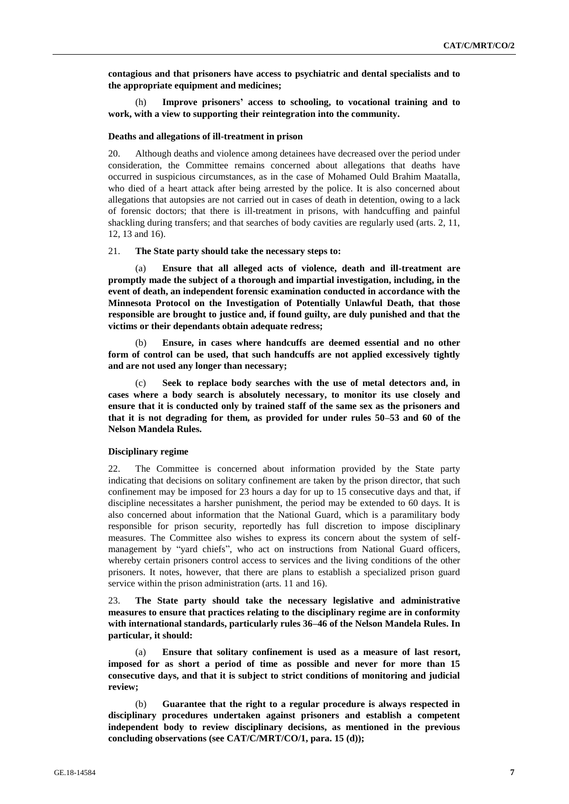**contagious and that prisoners have access to psychiatric and dental specialists and to the appropriate equipment and medicines;** 

(h) **Improve prisoners' access to schooling, to vocational training and to work, with a view to supporting their reintegration into the community.** 

#### **Deaths and allegations of ill-treatment in prison**

20. Although deaths and violence among detainees have decreased over the period under consideration, the Committee remains concerned about allegations that deaths have occurred in suspicious circumstances, as in the case of Mohamed Ould Brahim Maatalla, who died of a heart attack after being arrested by the police. It is also concerned about allegations that autopsies are not carried out in cases of death in detention, owing to a lack of forensic doctors; that there is ill-treatment in prisons, with handcuffing and painful shackling during transfers; and that searches of body cavities are regularly used (arts. 2, 11, 12, 13 and 16).

## 21. **The State party should take the necessary steps to:**

(a) **Ensure that all alleged acts of violence, death and ill-treatment are promptly made the subject of a thorough and impartial investigation, including, in the event of death, an independent forensic examination conducted in accordance with the Minnesota Protocol on the Investigation of Potentially Unlawful Death, that those responsible are brought to justice and, if found guilty, are duly punished and that the victims or their dependants obtain adequate redress;**

(b) **Ensure, in cases where handcuffs are deemed essential and no other form of control can be used, that such handcuffs are not applied excessively tightly and are not used any longer than necessary;**

Seek to replace body searches with the use of metal detectors and, in **cases where a body search is absolutely necessary, to monitor its use closely and ensure that it is conducted only by trained staff of the same sex as the prisoners and that it is not degrading for them, as provided for under rules 50–53 and 60 of the Nelson Mandela Rules.**

#### **Disciplinary regime**

22. The Committee is concerned about information provided by the State party indicating that decisions on solitary confinement are taken by the prison director, that such confinement may be imposed for 23 hours a day for up to 15 consecutive days and that, if discipline necessitates a harsher punishment, the period may be extended to 60 days. It is also concerned about information that the National Guard, which is a paramilitary body responsible for prison security, reportedly has full discretion to impose disciplinary measures. The Committee also wishes to express its concern about the system of selfmanagement by "yard chiefs", who act on instructions from National Guard officers, whereby certain prisoners control access to services and the living conditions of the other prisoners. It notes, however, that there are plans to establish a specialized prison guard service within the prison administration (arts. 11 and 16).

23. **The State party should take the necessary legislative and administrative measures to ensure that practices relating to the disciplinary regime are in conformity with international standards, particularly rules 36–46 of the Nelson Mandela Rules. In particular, it should:**

(a) **Ensure that solitary confinement is used as a measure of last resort, imposed for as short a period of time as possible and never for more than 15 consecutive days, and that it is subject to strict conditions of monitoring and judicial review;**

Guarantee that the right to a regular procedure is always respected in **disciplinary procedures undertaken against prisoners and establish a competent independent body to review disciplinary decisions, as mentioned in the previous concluding observations (see CAT/C/MRT/CO/1, para. 15 (d));**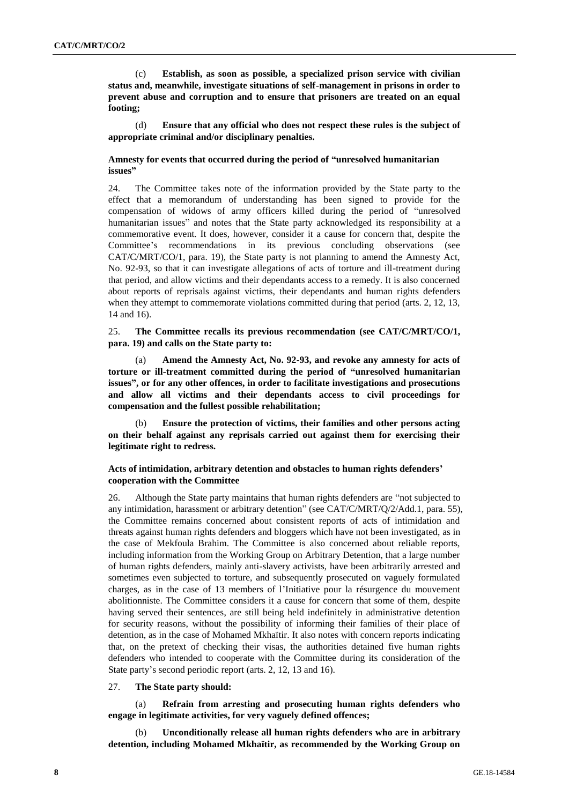(c) **Establish, as soon as possible, a specialized prison service with civilian status and, meanwhile, investigate situations of self-management in prisons in order to prevent abuse and corruption and to ensure that prisoners are treated on an equal footing;**

(d) **Ensure that any official who does not respect these rules is the subject of appropriate criminal and/or disciplinary penalties.**

## **Amnesty for events that occurred during the period of "unresolved humanitarian issues"**

24. The Committee takes note of the information provided by the State party to the effect that a memorandum of understanding has been signed to provide for the compensation of widows of army officers killed during the period of "unresolved humanitarian issues" and notes that the State party acknowledged its responsibility at a commemorative event. It does, however, consider it a cause for concern that, despite the Committee's recommendations in its previous concluding observations (see CAT/C/MRT/CO/1, para. 19), the State party is not planning to amend the Amnesty Act, No. 92-93, so that it can investigate allegations of acts of torture and ill-treatment during that period, and allow victims and their dependants access to a remedy. It is also concerned about reports of reprisals against victims, their dependants and human rights defenders when they attempt to commemorate violations committed during that period (arts. 2, 12, 13, 14 and 16).

25. **The Committee recalls its previous recommendation (see CAT/C/MRT/CO/1, para. 19) and calls on the State party to:**

(a) **Amend the Amnesty Act, No. 92-93, and revoke any amnesty for acts of torture or ill-treatment committed during the period of "unresolved humanitarian issues", or for any other offences, in order to facilitate investigations and prosecutions and allow all victims and their dependants access to civil proceedings for compensation and the fullest possible rehabilitation;**

(b) **Ensure the protection of victims, their families and other persons acting on their behalf against any reprisals carried out against them for exercising their legitimate right to redress.**

## **Acts of intimidation, arbitrary detention and obstacles to human rights defenders' cooperation with the Committee**

26. Although the State party maintains that human rights defenders are "not subjected to any intimidation, harassment or arbitrary detention" (see CAT/C/MRT/Q/2/Add.1, para. 55), the Committee remains concerned about consistent reports of acts of intimidation and threats against human rights defenders and bloggers which have not been investigated, as in the case of Mekfoula Brahim. The Committee is also concerned about reliable reports, including information from the Working Group on Arbitrary Detention, that a large number of human rights defenders, mainly anti-slavery activists, have been arbitrarily arrested and sometimes even subjected to torture, and subsequently prosecuted on vaguely formulated charges, as in the case of 13 members of l'Initiative pour la résurgence du mouvement abolitionniste. The Committee considers it a cause for concern that some of them, despite having served their sentences, are still being held indefinitely in administrative detention for security reasons, without the possibility of informing their families of their place of detention, as in the case of Mohamed Mkhaïtir. It also notes with concern reports indicating that, on the pretext of checking their visas, the authorities detained five human rights defenders who intended to cooperate with the Committee during its consideration of the State party's second periodic report (arts. 2, 12, 13 and 16).

## 27. **The State party should:**

Refrain from arresting and prosecuting human rights defenders who **engage in legitimate activities, for very vaguely defined offences;**

(b) **Unconditionally release all human rights defenders who are in arbitrary detention, including Mohamed Mkhaïtir, as recommended by the Working Group on**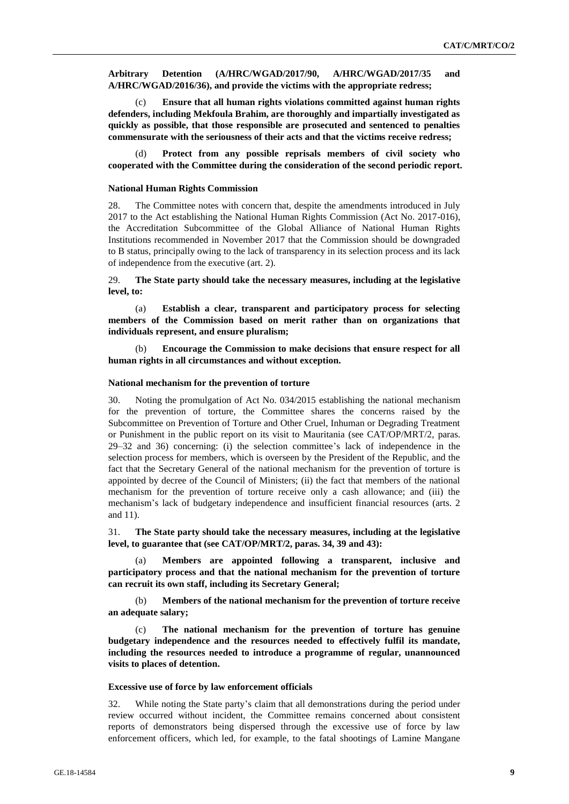**Arbitrary Detention (A/HRC/WGAD/2017/90, A/HRC/WGAD/2017/35 and A/HRC/WGAD/2016/36), and provide the victims with the appropriate redress;**

(c) **Ensure that all human rights violations committed against human rights defenders, including Mekfoula Brahim, are thoroughly and impartially investigated as quickly as possible, that those responsible are prosecuted and sentenced to penalties commensurate with the seriousness of their acts and that the victims receive redress;**

(d) **Protect from any possible reprisals members of civil society who cooperated with the Committee during the consideration of the second periodic report.**

#### **National Human Rights Commission**

28. The Committee notes with concern that, despite the amendments introduced in July 2017 to the Act establishing the National Human Rights Commission (Act No. 2017-016), the Accreditation Subcommittee of the Global Alliance of National Human Rights Institutions recommended in November 2017 that the Commission should be downgraded to B status, principally owing to the lack of transparency in its selection process and its lack of independence from the executive (art. 2).

29. **The State party should take the necessary measures, including at the legislative level, to:**

(a) **Establish a clear, transparent and participatory process for selecting members of the Commission based on merit rather than on organizations that individuals represent, and ensure pluralism;**

(b) **Encourage the Commission to make decisions that ensure respect for all human rights in all circumstances and without exception.**

#### **National mechanism for the prevention of torture**

30. Noting the promulgation of Act No. 034/2015 establishing the national mechanism for the prevention of torture, the Committee shares the concerns raised by the Subcommittee on Prevention of Torture and Other Cruel, Inhuman or Degrading Treatment or Punishment in the public report on its visit to Mauritania (see CAT/OP/MRT/2, paras. 29–32 and 36) concerning: (i) the selection committee's lack of independence in the selection process for members, which is overseen by the President of the Republic, and the fact that the Secretary General of the national mechanism for the prevention of torture is appointed by decree of the Council of Ministers; (ii) the fact that members of the national mechanism for the prevention of torture receive only a cash allowance; and (iii) the mechanism's lack of budgetary independence and insufficient financial resources (arts. 2 and 11).

31. **The State party should take the necessary measures, including at the legislative level, to guarantee that (see CAT/OP/MRT/2, paras. 34, 39 and 43):**

(a) **Members are appointed following a transparent, inclusive and participatory process and that the national mechanism for the prevention of torture can recruit its own staff, including its Secretary General;**

(b) **Members of the national mechanism for the prevention of torture receive an adequate salary;**

(c) **The national mechanism for the prevention of torture has genuine budgetary independence and the resources needed to effectively fulfil its mandate, including the resources needed to introduce a programme of regular, unannounced visits to places of detention.** 

#### **Excessive use of force by law enforcement officials**

32. While noting the State party's claim that all demonstrations during the period under review occurred without incident, the Committee remains concerned about consistent reports of demonstrators being dispersed through the excessive use of force by law enforcement officers, which led, for example, to the fatal shootings of Lamine Mangane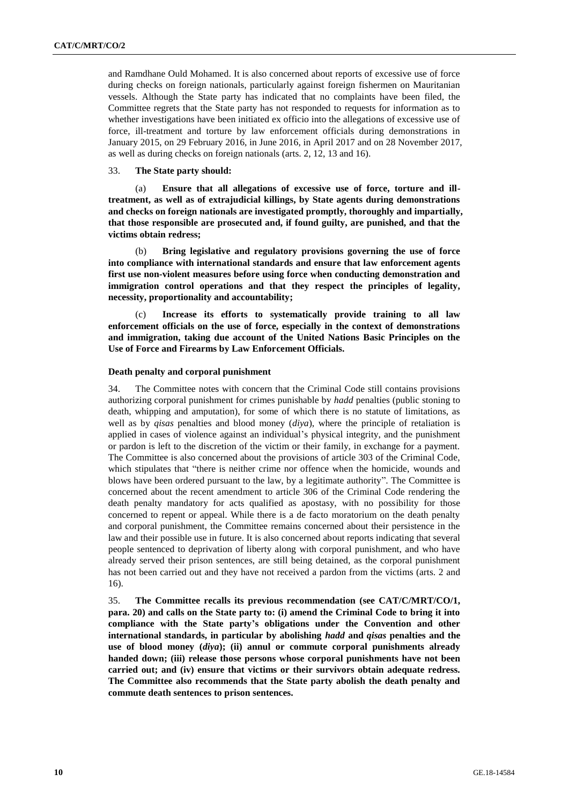and Ramdhane Ould Mohamed. It is also concerned about reports of excessive use of force during checks on foreign nationals, particularly against foreign fishermen on Mauritanian vessels. Although the State party has indicated that no complaints have been filed, the Committee regrets that the State party has not responded to requests for information as to whether investigations have been initiated ex officio into the allegations of excessive use of force, ill-treatment and torture by law enforcement officials during demonstrations in January 2015, on 29 February 2016, in June 2016, in April 2017 and on 28 November 2017, as well as during checks on foreign nationals (arts. 2, 12, 13 and 16).

#### 33. **The State party should:**

(a) **Ensure that all allegations of excessive use of force, torture and illtreatment, as well as of extrajudicial killings, by State agents during demonstrations and checks on foreign nationals are investigated promptly, thoroughly and impartially, that those responsible are prosecuted and, if found guilty, are punished, and that the victims obtain redress;**

(b) **Bring legislative and regulatory provisions governing the use of force into compliance with international standards and ensure that law enforcement agents first use non-violent measures before using force when conducting demonstration and immigration control operations and that they respect the principles of legality, necessity, proportionality and accountability;**

(c) **Increase its efforts to systematically provide training to all law enforcement officials on the use of force, especially in the context of demonstrations and immigration, taking due account of the United Nations Basic Principles on the Use of Force and Firearms by Law Enforcement Officials.**

#### **Death penalty and corporal punishment**

34. The Committee notes with concern that the Criminal Code still contains provisions authorizing corporal punishment for crimes punishable by *hadd* penalties (public stoning to death, whipping and amputation), for some of which there is no statute of limitations, as well as by *qisas* penalties and blood money (*diya*), where the principle of retaliation is applied in cases of violence against an individual's physical integrity, and the punishment or pardon is left to the discretion of the victim or their family, in exchange for a payment. The Committee is also concerned about the provisions of article 303 of the Criminal Code, which stipulates that "there is neither crime nor offence when the homicide, wounds and blows have been ordered pursuant to the law, by a legitimate authority". The Committee is concerned about the recent amendment to article 306 of the Criminal Code rendering the death penalty mandatory for acts qualified as apostasy, with no possibility for those concerned to repent or appeal. While there is a de facto moratorium on the death penalty and corporal punishment, the Committee remains concerned about their persistence in the law and their possible use in future. It is also concerned about reports indicating that several people sentenced to deprivation of liberty along with corporal punishment, and who have already served their prison sentences, are still being detained, as the corporal punishment has not been carried out and they have not received a pardon from the victims (arts. 2 and 16).

35. **The Committee recalls its previous recommendation (see CAT/C/MRT/CO/1, para. 20) and calls on the State party to: (i) amend the Criminal Code to bring it into compliance with the State party's obligations under the Convention and other international standards, in particular by abolishing** *hadd* **and** *qisas* **penalties and the use of blood money (***diya***); (ii) annul or commute corporal punishments already handed down; (iii) release those persons whose corporal punishments have not been carried out; and (iv) ensure that victims or their survivors obtain adequate redress. The Committee also recommends that the State party abolish the death penalty and commute death sentences to prison sentences.**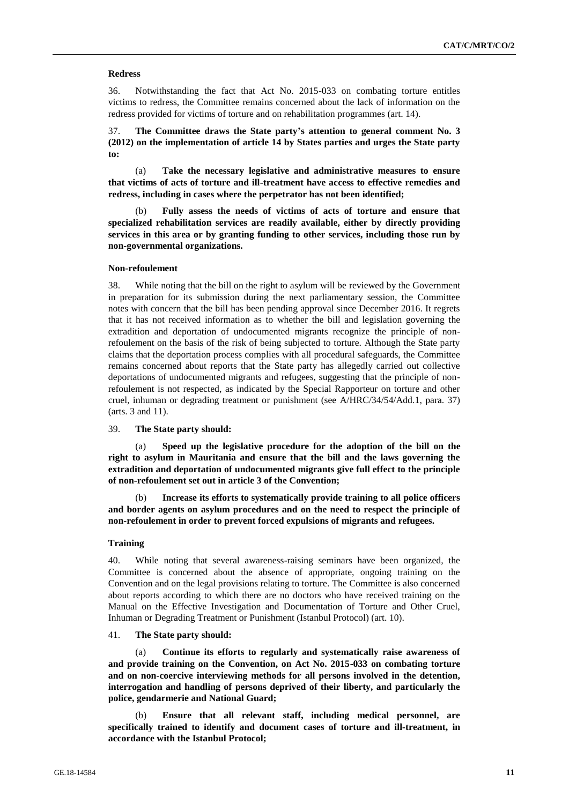#### **Redress**

36. Notwithstanding the fact that Act No. 2015-033 on combating torture entitles victims to redress, the Committee remains concerned about the lack of information on the redress provided for victims of torture and on rehabilitation programmes (art. 14).

37. **The Committee draws the State party's attention to general comment No. 3 (2012) on the implementation of article 14 by States parties and urges the State party to:**

(a) **Take the necessary legislative and administrative measures to ensure that victims of acts of torture and ill-treatment have access to effective remedies and redress, including in cases where the perpetrator has not been identified;**

Fully assess the needs of victims of acts of torture and ensure that **specialized rehabilitation services are readily available, either by directly providing services in this area or by granting funding to other services, including those run by non-governmental organizations.** 

### **Non-refoulement**

38. While noting that the bill on the right to asylum will be reviewed by the Government in preparation for its submission during the next parliamentary session, the Committee notes with concern that the bill has been pending approval since December 2016. It regrets that it has not received information as to whether the bill and legislation governing the extradition and deportation of undocumented migrants recognize the principle of nonrefoulement on the basis of the risk of being subjected to torture. Although the State party claims that the deportation process complies with all procedural safeguards, the Committee remains concerned about reports that the State party has allegedly carried out collective deportations of undocumented migrants and refugees, suggesting that the principle of nonrefoulement is not respected, as indicated by the Special Rapporteur on torture and other cruel, inhuman or degrading treatment or punishment (see A/HRC/34/54/Add.1, para. 37) (arts. 3 and 11).

### 39. **The State party should:**

(a) **Speed up the legislative procedure for the adoption of the bill on the right to asylum in Mauritania and ensure that the bill and the laws governing the extradition and deportation of undocumented migrants give full effect to the principle of non-refoulement set out in article 3 of the Convention;**

(b) **Increase its efforts to systematically provide training to all police officers and border agents on asylum procedures and on the need to respect the principle of non-refoulement in order to prevent forced expulsions of migrants and refugees.**

## **Training**

40. While noting that several awareness-raising seminars have been organized, the Committee is concerned about the absence of appropriate, ongoing training on the Convention and on the legal provisions relating to torture. The Committee is also concerned about reports according to which there are no doctors who have received training on the Manual on the Effective Investigation and Documentation of Torture and Other Cruel, Inhuman or Degrading Treatment or Punishment (Istanbul Protocol) (art. 10).

#### 41. **The State party should:**

(a) **Continue its efforts to regularly and systematically raise awareness of and provide training on the Convention, on Act No. 2015-033 on combating torture and on non-coercive interviewing methods for all persons involved in the detention, interrogation and handling of persons deprived of their liberty, and particularly the police, gendarmerie and National Guard;**

(b) **Ensure that all relevant staff, including medical personnel, are specifically trained to identify and document cases of torture and ill-treatment, in accordance with the Istanbul Protocol;**